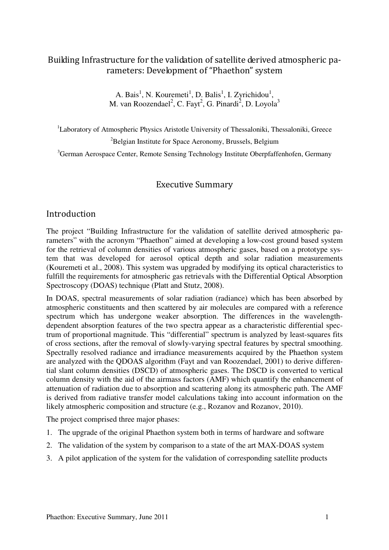# Building Infrastructure for the validation of satellite derived atmospheric parameters: Development of "Phaethon" system

A. Bais<sup>1</sup>, N. Kouremeti<sup>1</sup>, D. Balis<sup>1</sup>, I. Zyrichidou<sup>1</sup>, M. van Roozendael<sup>2</sup>, C. Fayt<sup>2</sup>, G. Pinardi<sup>2</sup>, D. Loyola<sup>3</sup>

<sup>1</sup>Laboratory of Atmospheric Physics Aristotle University of Thessaloniki, Thessaloniki, Greece

<sup>2</sup>Belgian Institute for Space Aeronomy, Brussels, Belgium

<sup>3</sup>German Aerospace Center, Remote Sensing Technology Institute Oberpfaffenhofen, Germany

### Executive Summary

#### Introduction

The project "Building Infrastructure for the validation of satellite derived atmospheric parameters" with the acronym "Phaethon" aimed at developing a low-cost ground based system for the retrieval of column densities of various atmospheric gases, based on a prototype system that was developed for aerosol optical depth and solar radiation measurements (Kouremeti et al., 2008). This system was upgraded by modifying its optical characteristics to fulfill the requirements for atmospheric gas retrievals with the Differential Optical Absorption Spectroscopy (DOAS) technique (Platt and Stutz, 2008).

In DOAS, spectral measurements of solar radiation (radiance) which has been absorbed by atmospheric constituents and then scattered by air molecules are compared with a reference spectrum which has undergone weaker absorption. The differences in the wavelengthdependent absorption features of the two spectra appear as a characteristic differential spectrum of proportional magnitude. This "differential" spectrum is analyzed by least-squares fits of cross sections, after the removal of slowly-varying spectral features by spectral smoothing. Spectrally resolved radiance and irradiance measurements acquired by the Phaethon system are analyzed with the QDOAS algorithm (Fayt and van Roozendael, 2001) to derive differential slant column densities (DSCD) of atmospheric gases. The DSCD is converted to vertical column density with the aid of the airmass factors (AMF) which quantify the enhancement of attenuation of radiation due to absorption and scattering along its atmospheric path. The AMF is derived from radiative transfer model calculations taking into account information on the likely atmospheric composition and structure (e.g., Rozanov and Rozanov, 2010).

The project comprised three major phases:

- 1. The upgrade of the original Phaethon system both in terms of hardware and software
- 2. The validation of the system by comparison to a state of the art MAX-DOAS system
- 3. A pilot application of the system for the validation of corresponding satellite products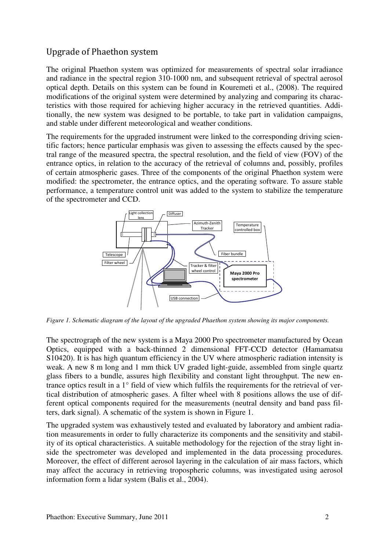### Upgrade of Phaethon system

The original Phaethon system was optimized for measurements of spectral solar irradiance and radiance in the spectral region 310-1000 nm, and subsequent retrieval of spectral aerosol optical depth. Details on this system can be found in Kouremeti et al., (2008). The required modifications of the original system were determined by analyzing and comparing its characteristics with those required for achieving higher accuracy in the retrieved quantities. Additionally, the new system was designed to be portable, to take part in validation campaigns, and stable under different meteorological and weather conditions.

The requirements for the upgraded instrument were linked to the corresponding driving scientific factors; hence particular emphasis was given to assessing the effects caused by the spectral range of the measured spectra, the spectral resolution, and the field of view (FOV) of the entrance optics, in relation to the accuracy of the retrieval of columns and, possibly, profiles of certain atmospheric gases. Three of the components of the original Phaethon system were modified: the spectrometer, the entrance optics, and the operating software. To assure stable performance, a temperature control unit was added to the system to stabilize the temperature of the spectrometer and CCD.



*Figure 1. Schematic diagram of the layout of the upgraded Phaethon system showing its major components.* 

The spectrograph of the new system is a Maya 2000 Pro spectrometer manufactured by Ocean Optics, equipped with a back-thinned 2 dimensional FFT-CCD detector (Hamamatsu S10420). It is has high quantum efficiency in the UV where atmospheric radiation intensity is weak. A new 8 m long and 1 mm thick UV graded light-guide, assembled from single quartz glass fibers to a bundle, assures high flexibility and constant light throughput. The new entrance optics result in a 1° field of view which fulfils the requirements for the retrieval of vertical distribution of atmospheric gases. A filter wheel with 8 positions allows the use of different optical components required for the measurements (neutral density and band pass filters, dark signal). A schematic of the system is shown in Figure 1.

The upgraded system was exhaustively tested and evaluated by laboratory and ambient radiation measurements in order to fully characterize its components and the sensitivity and stability of its optical characteristics. A suitable methodology for the rejection of the stray light inside the spectrometer was developed and implemented in the data processing procedures. Moreover, the effect of different aerosol layering in the calculation of air mass factors, which may affect the accuracy in retrieving tropospheric columns, was investigated using aerosol information form a lidar system (Balis et al., 2004).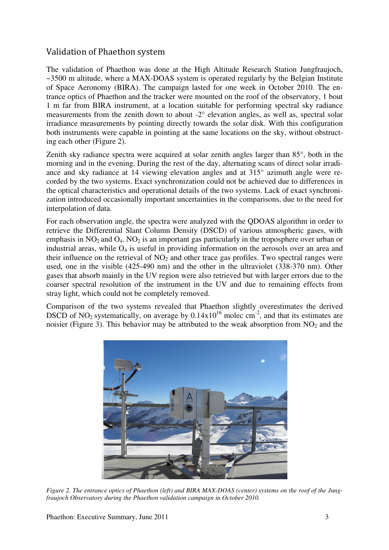# Validation of Phaethon system

The validation of Phaethon was done at the High Altitude Research Station Jungfraujoch, ~3500 m altitude, where a MAX-DOAS system is operated regularly by the Belgian Institute of Space Aeronomy (BIRA). The campaign lasted for one week in October 2010. The entrance optics of Phaethon and the tracker were mounted on the roof of the observatory, 1 bout 1 m far from BIRA instrument, at a location suitable for performing spectral sky radiance measurements from the zenith down to about -2° elevation angles, as well as, spectral solar irradiance measurements by pointing directly towards the solar disk. With this configuration both instruments were capable in pointing at the same locations on the sky, without obstructing each other (Figure 2).

Zenith sky radiance spectra were acquired at solar zenith angles larger than 85°, both in the morning and in the evening. During the rest of the day, alternating scans of direct solar irradiance and sky radiance at 14 viewing elevation angles and at 315° azimuth angle were recorded by the two systems. Exact synchronization could not be achieved due to differences in the optical characteristics and operational details of the two systems. Lack of exact synchronization introduced occasionally important uncertainties in the comparisons, due to the need for interpolation of data.

For each observation angle, the spectra were analyzed with the QDOAS algorithm in order to retrieve the Differential Slant Column Density (DSCD) of various atmospheric gases, with emphasis in  $NO_2$  and  $O_4$ .  $NO_2$  is an important gas particularly in the troposphere over urban or industrial areas, while  $O_4$  is useful in providing information on the aerosols over an area and their influence on the retrieval of  $NO<sub>2</sub>$  and other trace gas profiles. Two spectral ranges were used, one in the visible (425-490 nm) and the other in the ultraviolet (338-370 nm). Other gases that absorb mainly in the UV region were also retrieved but with larger errors due to the coarser spectral resolution of the instrument in the UV and due to remaining effects from stray light, which could not be completely removed.

Comparison of the two systems revealed that Phaethon slightly overestimates the derived DSCD of NO<sub>2</sub> systematically, on average by  $0.14x10^{16}$  molec cm<sup>-2</sup>, and that its estimates are noisier (Figure 3). This behavior may be attributed to the weak absorption from  $NO<sub>2</sub>$  and the



*Figure 2. The entrance optics of Phaethon (left) and BIRA MAX-DOAS (center) systems on the roof of the Jungfraujoch Observatory during the Phaethon validation campaign in October 2010.*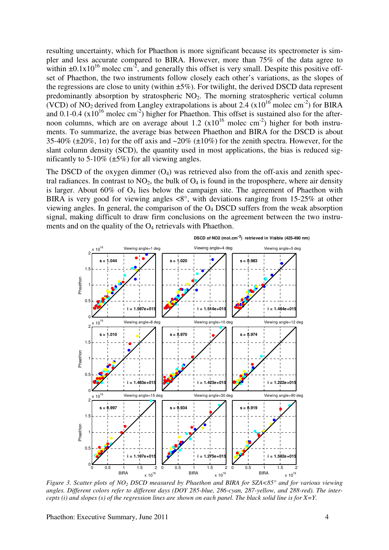resulting uncertainty, which for Phaethon is more significant because its spectrometer is simpler and less accurate compared to BIRA. However, more than 75% of the data agree to within  $\pm 0.1x10^{16}$  molec cm<sup>-2</sup>, and generally this offset is very small. Despite this positive offset of Phaethon, the two instruments follow closely each other's variations, as the slopes of the regressions are close to unity (within ±5%). For twilight, the derived DSCD data represent predominantly absorption by stratospheric NO2. The morning stratospheric vertical column (VCD) of NO<sub>2</sub> derived from Langley extrapolations is about 2.4 ( $x10^{16}$  molec cm<sup>-2</sup>) for BIRA and  $0.1$ -0.4 ( $x10^{16}$  molec cm<sup>-2</sup>) higher for Phaethon. This offset is sustained also for the afternoon columns, which are on average about 1.2  $(x10^{16} \text{ molec cm}^{-2})$  higher for both instruments. To summarize, the average bias between Phaethon and BIRA for the DSCD is about 35-40% ( $\pm$ 20%, 1 $\sigma$ ) for the off axis and  $\sim$ 20% ( $\pm$ 10%) for the zenith spectra. However, for the slant column density (SCD), the quantity used in most applications, the bias is reduced significantly to  $5-10\%$  ( $\pm 5\%$ ) for all viewing angles.

The DSCD of the oxygen dimmer  $(O_4)$  was retrieved also from the off-axis and zenith spectral radiances. In contrast to  $NO<sub>2</sub>$ , the bulk of  $O<sub>4</sub>$  is found in the troposphere, where air density is larger. About  $60\%$  of  $O_4$  lies below the campaign site. The agreement of Phaethon with BIRA is very good for viewing angles  $\langle 8^\circ \rangle$ , with deviations ranging from 15-25% at other viewing angles. In general, the comparison of the  $O<sub>4</sub>$  DSCD suffers from the weak absorption signal, making difficult to draw firm conclusions on the agreement between the two instruments and on the quality of the  $O_4$  retrievals with Phaethon.



**DSCD of NO2 (mol.cm-2) retrieved in Visible (425-490 nm)**

*Figure 3. Scatter plots of NO2 DSCD measured by Phaethon and BIRA for SZA<85° and for various viewing angles. Different colors refer to different days (DOY 285-blue, 286-cyan, 287-yellow, and 288-red). The intercepts (i) and slopes (s) of the regression lines are shown on each panel. The black solid line is for X=Y.* 

Phaethon: Executive Summary, June 2011 4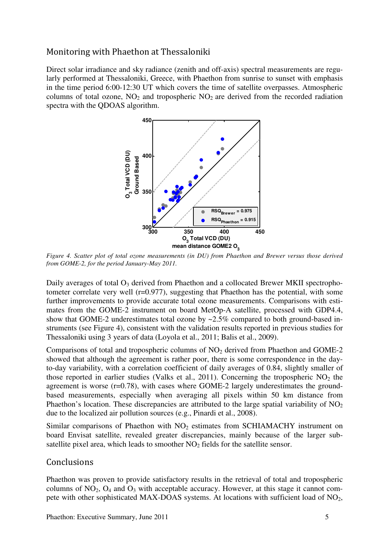### Monitoring with Phaethon at Thessaloniki

Direct solar irradiance and sky radiance (zenith and off-axis) spectral measurements are regularly performed at Thessaloniki, Greece, with Phaethon from sunrise to sunset with emphasis in the time period 6:00-12:30 UT which covers the time of satellite overpasses. Atmospheric columns of total ozone,  $NO<sub>2</sub>$  and tropospheric  $NO<sub>2</sub>$  are derived from the recorded radiation spectra with the QDOAS algorithm.



*Figure 4. Scatter plot of total ozone measurements (in DU) from Phaethon and Brewer versus those derived from GOME-2, for the period January-May 2011.* 

Daily averages of total  $O_3$  derived from Phaethon and a collocated Brewer MKII spectrophotometer correlate very well (r=0.977), suggesting that Phaethon has the potential, with some further improvements to provide accurate total ozone measurements. Comparisons with estimates from the GOME-2 instrument on board MetOp-A satellite, processed with GDP4.4, show that GOME-2 underestimates total ozone by ~2.5% compared to both ground-based instruments (see Figure 4), consistent with the validation results reported in previous studies for Thessaloniki using 3 years of data (Loyola et al., 2011; Balis et al., 2009).

Comparisons of total and tropospheric columns of  $NO<sub>2</sub>$  derived from Phaethon and GOME-2 showed that although the agreement is rather poor, there is some correspondence in the dayto-day variability, with a correlation coefficient of daily averages of 0.84, slightly smaller of those reported in earlier studies (Valks et al., 2011). Concerning the tropospheric  $NO<sub>2</sub>$  the agreement is worse  $(r=0.78)$ , with cases where GOME-2 largely underestimates the groundbased measurements, especially when averaging all pixels within 50 km distance from Phaethon's location. These discrepancies are attributed to the large spatial variability of  $NO<sub>2</sub>$ due to the localized air pollution sources (e.g., Pinardi et al., 2008).

Similar comparisons of Phaethon with  $NO<sub>2</sub>$  estimates from SCHIAMACHY instrument on board Envisat satellite, revealed greater discrepancies, mainly because of the larger subsatellite pixel area, which leads to smoother  $NO<sub>2</sub>$  fields for the satellite sensor.

### Conclusions

Phaethon was proven to provide satisfactory results in the retrieval of total and tropospheric columns of  $NO_2$ ,  $O_4$  and  $O_3$  with acceptable accuracy. However, at this stage it cannot compete with other sophisticated MAX-DOAS systems. At locations with sufficient load of NO<sub>2</sub>,